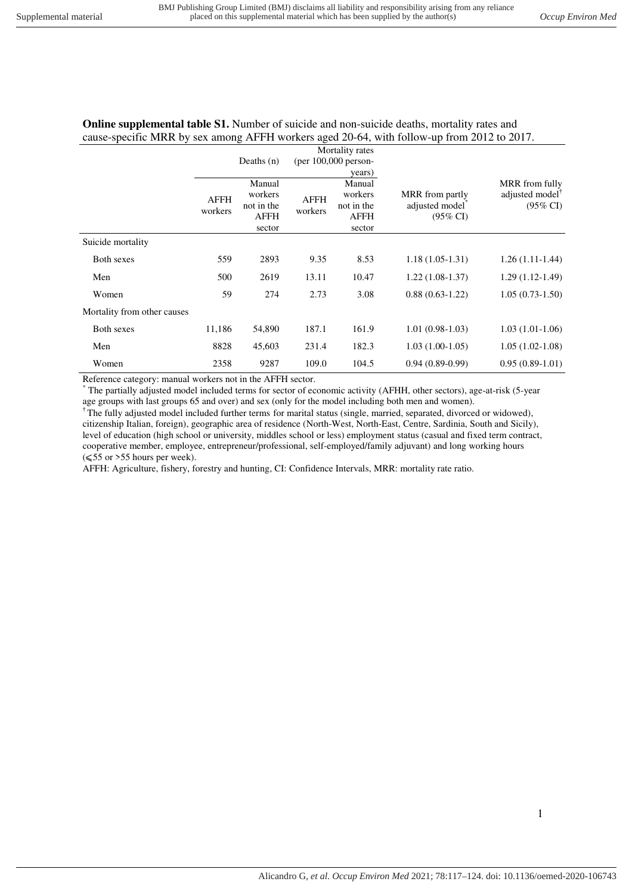## **Online supplemental table S1.** Number of suicide and non-suicide deaths, mortality rates and cause-specific MRR by sex among AFFH workers aged 20-64, with follow-up from 2012 to 2017.

|                             | Mortality rates<br>(per $100,000$ person-<br>Deaths $(n)$<br>years) |                                                          |                        |                                                          |                                                                       |                                                                      |
|-----------------------------|---------------------------------------------------------------------|----------------------------------------------------------|------------------------|----------------------------------------------------------|-----------------------------------------------------------------------|----------------------------------------------------------------------|
|                             | <b>AFFH</b><br>workers                                              | Manual<br>workers<br>not in the<br><b>AFFH</b><br>sector | <b>AFFH</b><br>workers | Manual<br>workers<br>not in the<br><b>AFFH</b><br>sector | MRR from partly<br>adjusted model <sup>*</sup><br>$(95\% \text{ CI})$ | MRR from fully<br>adjusted model <sup>™</sup><br>$(95\% \text{ CI})$ |
| Suicide mortality           |                                                                     |                                                          |                        |                                                          |                                                                       |                                                                      |
| Both sexes                  | 559                                                                 | 2893                                                     | 9.35                   | 8.53                                                     | $1.18(1.05-1.31)$                                                     | $1.26(1.11-1.44)$                                                    |
| Men                         | 500                                                                 | 2619                                                     | 13.11                  | 10.47                                                    | $1.22(1.08-1.37)$                                                     | $1.29(1.12-1.49)$                                                    |
| Women                       | 59                                                                  | 274                                                      | 2.73                   | 3.08                                                     | $0.88(0.63-1.22)$                                                     | $1.05(0.73-1.50)$                                                    |
| Mortality from other causes |                                                                     |                                                          |                        |                                                          |                                                                       |                                                                      |
| Both sexes                  | 11,186                                                              | 54,890                                                   | 187.1                  | 161.9                                                    | $1.01(0.98-1.03)$                                                     | $1.03(1.01-1.06)$                                                    |
| Men                         | 8828                                                                | 45,603                                                   | 231.4                  | 182.3                                                    | $1.03(1.00-1.05)$                                                     | $1.05(1.02-1.08)$                                                    |
| Women                       | 2358                                                                | 9287                                                     | 109.0                  | 104.5                                                    | $0.94(0.89-0.99)$                                                     | $0.95(0.89-1.01)$                                                    |

Reference category: manual workers not in the AFFH sector.

\* The partially adjusted model included terms for sector of economic activity (AFHH, other sectors), age-at-risk (5-year age groups with last groups 65 and over) and sex (only for the model including both men and women).

<sup>†</sup>The fully adjusted model included further terms for marital status (single, married, separated, divorced or widowed), citizenship Italian, foreign), geographic area of residence (North-West, North-East, Centre, Sardinia, South and Sicily), level of education (high school or university, middles school or less) employment status (casual and fixed term contract, cooperative member, employee, entrepreneur/professional, self-employed/family adjuvant) and long working hours (⩽55 or >55 hours per week).

AFFH: Agriculture, fishery, forestry and hunting, CI: Confidence Intervals, MRR: mortality rate ratio.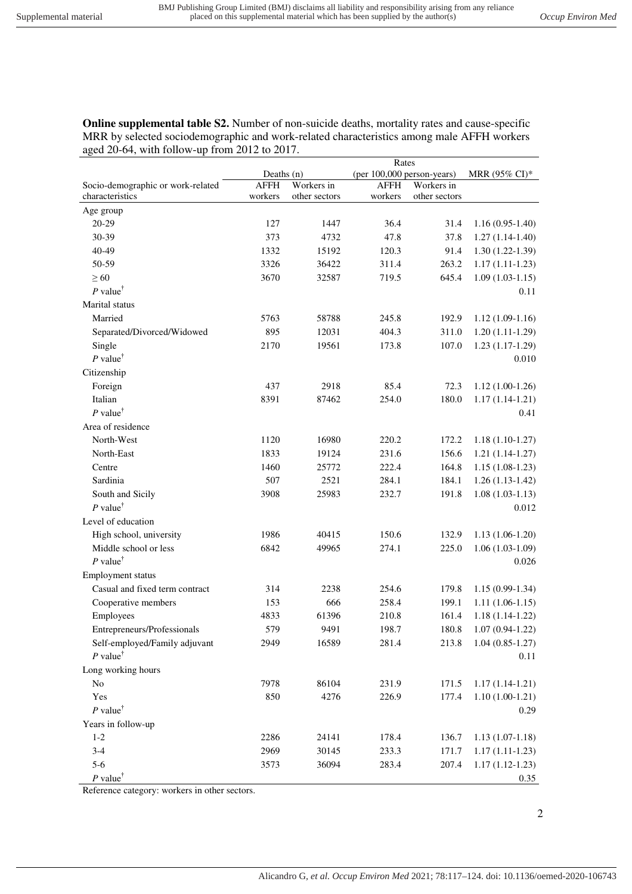**Online supplemental table S2.** Number of non-suicide deaths, mortality rates and cause-specific MRR by selected sociodemographic and work-related characteristics among male AFFH workers aged 20-64, with follow-up from 2012 to 2017.

|                                         |              |               | Rates                      |               |                   |
|-----------------------------------------|--------------|---------------|----------------------------|---------------|-------------------|
|                                         | Deaths $(n)$ |               | (per 100,000 person-years) |               | MRR (95% CI)*     |
| Socio-demographic or work-related       | <b>AFFH</b>  | Workers in    | <b>AFFH</b>                | Workers in    |                   |
| characteristics                         | workers      | other sectors | workers                    | other sectors |                   |
| Age group                               |              |               |                            |               |                   |
| 20-29                                   | 127          | 1447          | 36.4                       | 31.4          | $1.16(0.95-1.40)$ |
| 30-39                                   | 373          | 4732          | 47.8                       | 37.8          | $1.27(1.14-1.40)$ |
| 40-49                                   | 1332         | 15192         | 120.3                      | 91.4          | $1.30(1.22-1.39)$ |
| 50-59                                   | 3326         | 36422         | 311.4                      | 263.2         | $1.17(1.11-1.23)$ |
| $\geq 60$                               | 3670         | 32587         | 719.5                      | 645.4         | $1.09(1.03-1.15)$ |
| P value <sup><math>\dagger</math></sup> |              |               |                            |               | 0.11              |
| Marital status                          |              |               |                            |               |                   |
| Married                                 | 5763         | 58788         | 245.8                      | 192.9         | $1.12(1.09-1.16)$ |
| Separated/Divorced/Widowed              | 895          | 12031         | 404.3                      | 311.0         | $1.20(1.11-1.29)$ |
| Single                                  | 2170         | 19561         | 173.8                      | 107.0         | $1.23(1.17-1.29)$ |
| P value <sup><math>\dagger</math></sup> |              |               |                            |               | 0.010             |
| Citizenship                             |              |               |                            |               |                   |
| Foreign                                 | 437          | 2918          | 85.4                       | 72.3          | $1.12(1.00-1.26)$ |
| Italian                                 | 8391         | 87462         | 254.0                      | 180.0         | $1.17(1.14-1.21)$ |
| P value <sup><math>\dagger</math></sup> |              |               |                            |               | 0.41              |
| Area of residence                       |              |               |                            |               |                   |
| North-West                              | 1120         | 16980         | 220.2                      | 172.2         | $1.18(1.10-1.27)$ |
| North-East                              | 1833         | 19124         | 231.6                      | 156.6         | $1.21(1.14-1.27)$ |
| Centre                                  | 1460         | 25772         | 222.4                      | 164.8         | $1.15(1.08-1.23)$ |
| Sardinia                                | 507          | 2521          | 284.1                      | 184.1         | $1.26(1.13-1.42)$ |
| South and Sicily                        | 3908         | 25983         | 232.7                      | 191.8         | $1.08(1.03-1.13)$ |
| P value <sup><math>\dagger</math></sup> |              |               |                            |               | 0.012             |
| Level of education                      |              |               |                            |               |                   |
| High school, university                 | 1986         | 40415         | 150.6                      | 132.9         | $1.13(1.06-1.20)$ |
| Middle school or less                   | 6842         | 49965         | 274.1                      | 225.0         | $1.06(1.03-1.09)$ |
| $P$ value <sup>†</sup>                  |              |               |                            |               | 0.026             |
| Employment status                       |              |               |                            |               |                   |
| Casual and fixed term contract          | 314          | 2238          | 254.6                      | 179.8         | $1.15(0.99-1.34)$ |
| Cooperative members                     | 153          | 666           | 258.4                      | 199.1         | $1.11(1.06-1.15)$ |
| Employees                               | 4833         | 61396         | 210.8                      | 161.4         | $1.18(1.14-1.22)$ |
| Entrepreneurs/Professionals             | 579          | 9491          | 198.7                      | 180.8         | $1.07(0.94-1.22)$ |
| Self-employed/Family adjuvant           | 2949         | 16589         | 281.4                      | 213.8         | $1.04(0.85-1.27)$ |
| P value <sup><math>\dagger</math></sup> |              |               |                            |               | 0.11              |
| Long working hours                      |              |               |                            |               |                   |
| N <sub>o</sub>                          | 7978         | 86104         | 231.9                      | 171.5         | $1.17(1.14-1.21)$ |
| Yes                                     | 850          | 4276          | 226.9                      | 177.4         | $1.10(1.00-1.21)$ |
| P value <sup><math>\dagger</math></sup> |              |               |                            |               | 0.29              |
|                                         |              |               |                            |               |                   |
| Years in follow-up<br>$1-2$             | 2286         |               |                            |               | $1.13(1.07-1.18)$ |
| $3-4$                                   |              | 24141         | 178.4                      | 136.7         |                   |
|                                         | 2969         | 30145         | 233.3                      | 171.7         | $1.17(1.11-1.23)$ |
| $5-6$                                   | 3573         | 36094         | 283.4                      | 207.4         | $1.17(1.12-1.23)$ |
| $P$ value <sup>†</sup>                  |              |               |                            |               | 0.35              |

Reference category: workers in other sectors.

2